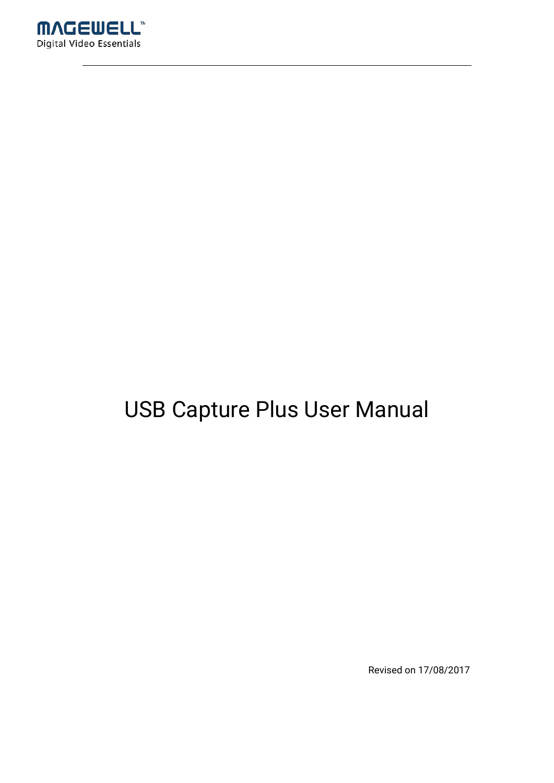

# USB Capture Plus User Manual

Revised on 17/08/2017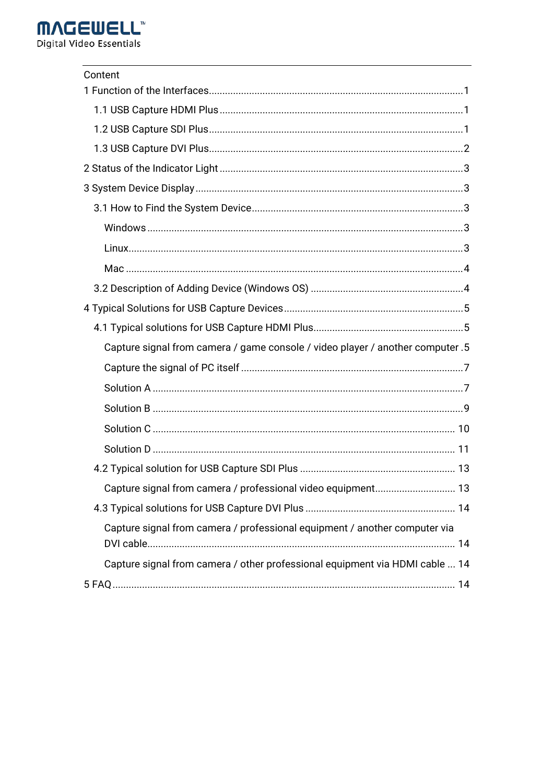

| Content                                                                        |
|--------------------------------------------------------------------------------|
|                                                                                |
|                                                                                |
|                                                                                |
|                                                                                |
|                                                                                |
|                                                                                |
|                                                                                |
|                                                                                |
|                                                                                |
|                                                                                |
|                                                                                |
|                                                                                |
|                                                                                |
| Capture signal from camera / game console / video player / another computer .5 |
|                                                                                |
|                                                                                |
|                                                                                |
|                                                                                |
|                                                                                |
|                                                                                |
|                                                                                |
|                                                                                |
| Capture signal from camera / professional equipment / another computer via     |
| Capture signal from camera / other professional equipment via HDMI cable  14   |
|                                                                                |
|                                                                                |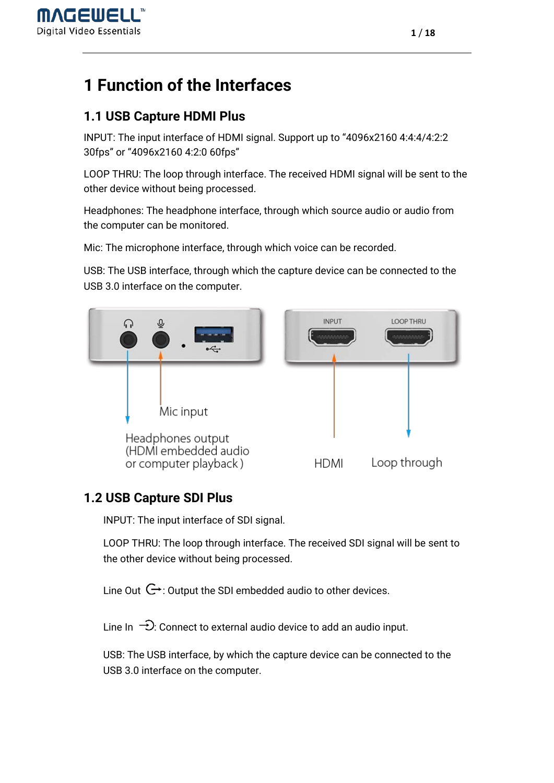

## <span id="page-2-0"></span>**1 Function of the Interfaces**

## <span id="page-2-1"></span>**1.1 USB Capture HDMI Plus**

INPUT: The input interface of HDMI signal. Support up to "4096x2160 4:4:4/4:2:2 30fps" or "4096x2160 4:2:0 60fps"

LOOP THRU: The loop through interface. The received HDMI signal will be sent to the other device without being processed.

Headphones: The headphone interface, through which source audio or audio from the computer can be monitored.

Mic: The microphone interface, through which voice can be recorded.

USB: The USB interface, through which the capture device can be connected to the USB 3.0 interface on the computer.



### <span id="page-2-2"></span>**1.2 USB Capture SDI Plus**

INPUT: The input interface of SDI signal.

LOOP THRU: The loop through interface. The received SDI signal will be sent to the other device without being processed.

Line Out  $\mathbb{G}$ : Output the SDI embedded audio to other devices.

Line In  $\rightarrow$  Connect to external audio device to add an audio input.

USB: The USB interface, by which the capture device can be connected to the USB 3.0 interface on the computer.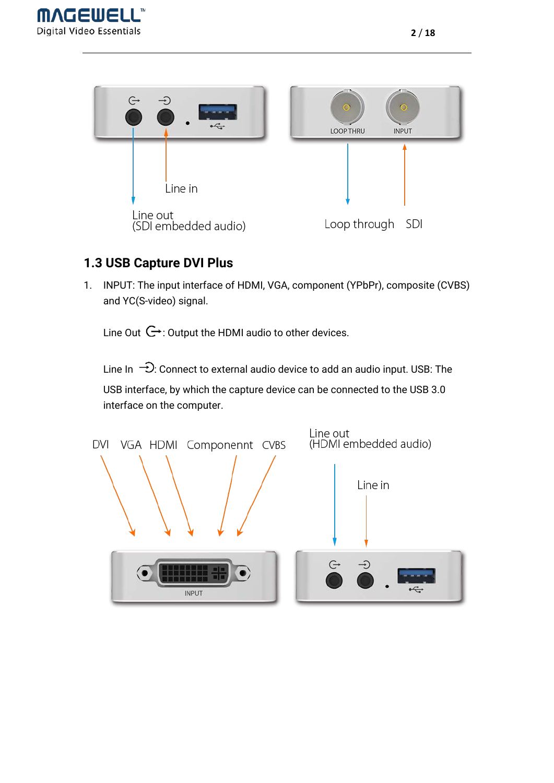



### <span id="page-3-0"></span>**1.3 USB Capture DVI Plus**

1. INPUT: The input interface of HDMI, VGA, component (YPbPr), composite (CVBS) and YC(S-video) signal.

Line Out  $\mathbb{G}$ : Output the HDMI audio to other devices.

Line In  $\overline{\rightarrow}$ . Connect to external audio device to add an audio input. USB: The

USB interface, by which the capture device can be connected to the USB 3.0 interface on the computer.

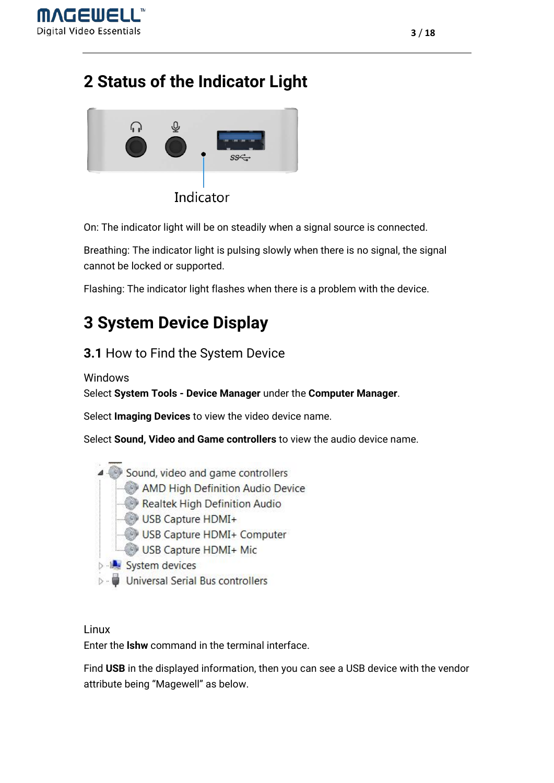

## <span id="page-4-0"></span>**2 Status of the Indicator Light**



On: The indicator light will be on steadily when a signal source is connected.

Breathing: The indicator light is pulsing slowly when there is no signal, the signal cannot be locked or supported.

Flashing: The indicator light flashes when there is a problem with the device.

## <span id="page-4-1"></span>**3 System Device Display**

### <span id="page-4-2"></span>**3.1** How to Find the System Device

<span id="page-4-3"></span>Windows

Select **System Tools - Device Manager** under the **Computer Manager**.

Select **Imaging Devices** to view the video device name.

Select **Sound, Video and Game controllers** to view the audio device name.

- Sound, video and game controllers
	- AMD High Definition Audio Device
	- Realtek High Definition Audio
	- USB Capture HDMI+
	- USB Capture HDMI+ Computer
	- USB Capture HDMI+ Mic
- **System devices**
- **D** Universal Serial Bus controllers

#### <span id="page-4-4"></span>Linux

Enter the **lshw** command in the terminal interface.

Find **USB** in the displayed information, then you can see a USB device with the vendor attribute being "Magewell" as below.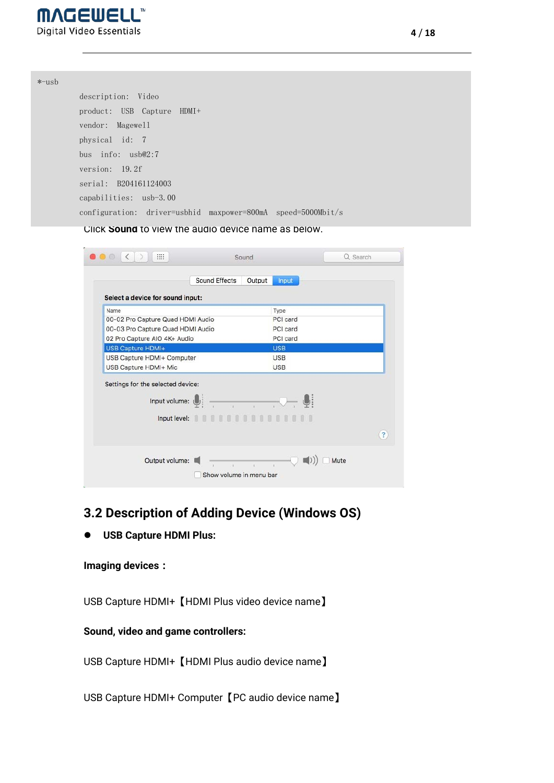

| $*$ -usb |                                                              |
|----------|--------------------------------------------------------------|
|          | description: Video                                           |
|          | product: USB Capture HDMI+                                   |
|          | vendor: Magewell                                             |
|          | physical id: 7                                               |
|          | bus $info: usb@2:7$                                          |
|          | version: $19.2f$                                             |
|          | serial: B204161124003                                        |
|          | capabilities: usb-3.00                                       |
|          | configuration: driver=usbhid maxpower=800mA speed=5000Mbit/s |

<span id="page-5-0"></span>Click **Sound** to view the audio device name as below.

|                                   | Sound Effects                                                                                                                                                                                                                                                                                                                     | Output<br><b>Input</b> |  |
|-----------------------------------|-----------------------------------------------------------------------------------------------------------------------------------------------------------------------------------------------------------------------------------------------------------------------------------------------------------------------------------|------------------------|--|
| Select a device for sound input:  |                                                                                                                                                                                                                                                                                                                                   |                        |  |
| Name                              |                                                                                                                                                                                                                                                                                                                                   | Type                   |  |
| 00-02 Pro Capture Quad HDMI Audio |                                                                                                                                                                                                                                                                                                                                   | PCI card               |  |
| 00-03 Pro Capture Quad HDMI Audio |                                                                                                                                                                                                                                                                                                                                   | PCI card               |  |
| 02 Pro Capture AIO 4K+ Audio      |                                                                                                                                                                                                                                                                                                                                   | PCI card               |  |
| USB Capture HDMI+                 |                                                                                                                                                                                                                                                                                                                                   | <b>USB</b>             |  |
| USB Capture HDMI+ Computer        |                                                                                                                                                                                                                                                                                                                                   | <b>USB</b>             |  |
| USB Capture HDMI+ Mic             |                                                                                                                                                                                                                                                                                                                                   | <b>USB</b>             |  |
| Settings for the selected device: | Input volume: $\left\{ \begin{array}{ccc} 0 & 0 & 0 \\ 0 & 0 & 0 \\ 0 & 0 & 0 \\ 0 & 0 & 0 \\ 0 & 0 & 0 \\ 0 & 0 & 0 \\ 0 & 0 & 0 \\ 0 & 0 & 0 \\ 0 & 0 & 0 \\ 0 & 0 & 0 \\ 0 & 0 & 0 \\ 0 & 0 & 0 \\ 0 & 0 & 0 \\ 0 & 0 & 0 & 0 \\ 0 & 0 & 0 & 0 \\ 0 & 0 & 0 & 0 \\ 0 & 0 & 0 & 0 \\ 0 & 0 & 0 & 0 & 0 \\ 0 & 0 & 0 & 0 & 0 \\$ |                        |  |
|                                   |                                                                                                                                                                                                                                                                                                                                   |                        |  |

### <span id="page-5-1"></span>**3.2 Description of Adding Device (Windows OS)**

**USB Capture HDMI Plus:**

#### **Imaging devices:**

USB Capture HDMI+【HDMI Plus video device name】

#### **Sound, video and game controllers:**

USB Capture HDMI+【HDMI Plus audio device name】

USB Capture HDMI+ Computer【PC audio device name】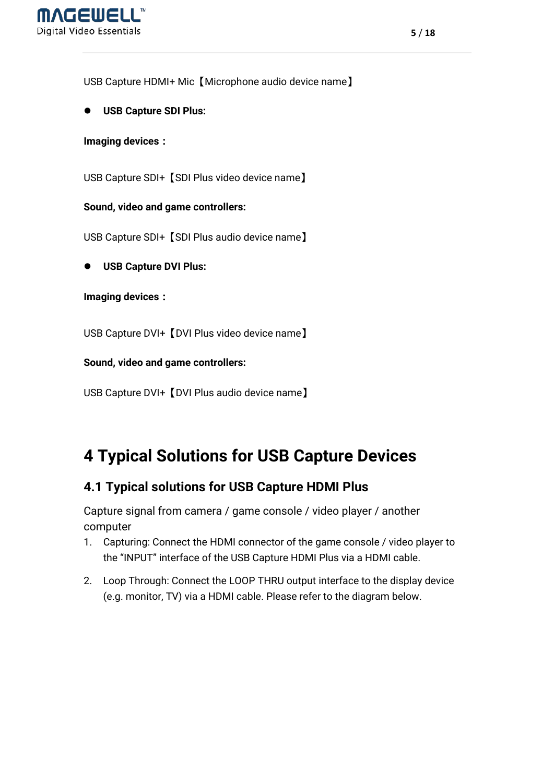

USB Capture HDMI+ Mic 【Microphone audio device name】

**USB Capture SDI Plus:**

**Imaging devices:**

USB Capture SDI+ 【SDI Plus video device name】

**Sound, video and game controllers:**

USB Capture SDI+【SDI Plus audio device name】

**USB Capture DVI Plus:**

**Imaging devices:**

USB Capture DVI+【DVI Plus video device name】

**Sound, video and game controllers:**

```
USB Capture DVI+【DVI Plus audio device name】
```
## <span id="page-6-0"></span>**4 Typical Solutions for USB Capture Devices**

### <span id="page-6-1"></span>**4.1 Typical solutions for USB Capture HDMI Plus**

<span id="page-6-2"></span>Capture signal from camera / game console / video player / another computer

- 1. Capturing: Connect the HDMI connector of the game console / video player to the "INPUT" interface of the USB Capture HDMI Plus via a HDMI cable.
- 2. Loop Through: Connect the LOOP THRU output interface to the display device (e.g. monitor, TV) via a HDMI cable. Please refer to the diagram below.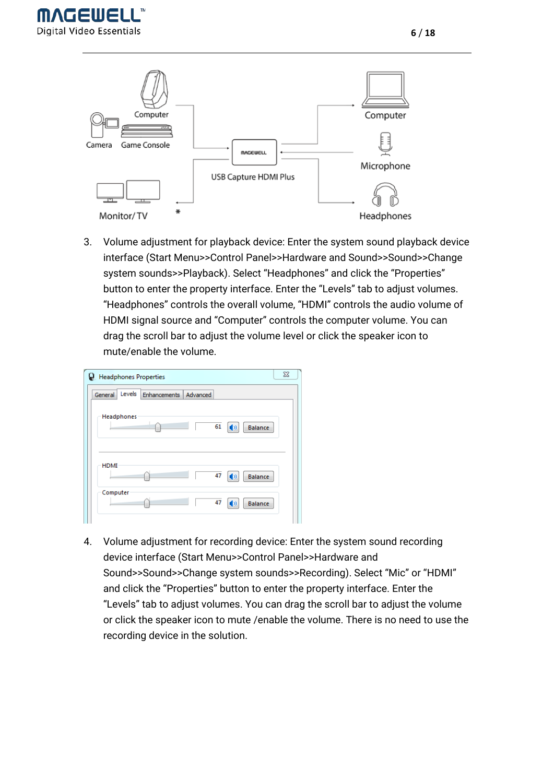



3. Volume adjustment for playback device: Enter the system sound playback device interface (Start Menu>>Control Panel>>Hardware and Sound>>Sound>>Change system sounds>>Playback). Select "Headphones" and click the "Properties" button to enter the property interface. Enter the "Levels" tab to adjust volumes. "Headphones" controls the overall volume, "HDMI" controls the audio volume of HDMI signal source and "Computer" controls the computer volume. You can drag the scroll bar to adjust the volume level or click the speaker icon to mute/enable the volume.

| <b>Q</b> Headphones Properties                | $\Sigma$       |
|-----------------------------------------------|----------------|
| Levels<br>Advanced<br>Enhancements<br>General |                |
| Headphones<br>61<br>40                        | <b>Balance</b> |
| <b>HDMI</b><br>47<br>(D)                      | <b>Balance</b> |
| Computer<br>47<br>ω                           | <b>Balance</b> |

4. Volume adjustment for recording device: Enter the system sound recording device interface (Start Menu>>Control Panel>>Hardware and Sound>>Sound>>Change system sounds>>Recording). Select "Mic" or "HDMI" and click the "Properties" button to enter the property interface. Enter the "Levels" tab to adjust volumes. You can drag the scroll bar to adjust the volume or click the speaker icon to mute /enable the volume. There is no need to use the recording device in the solution.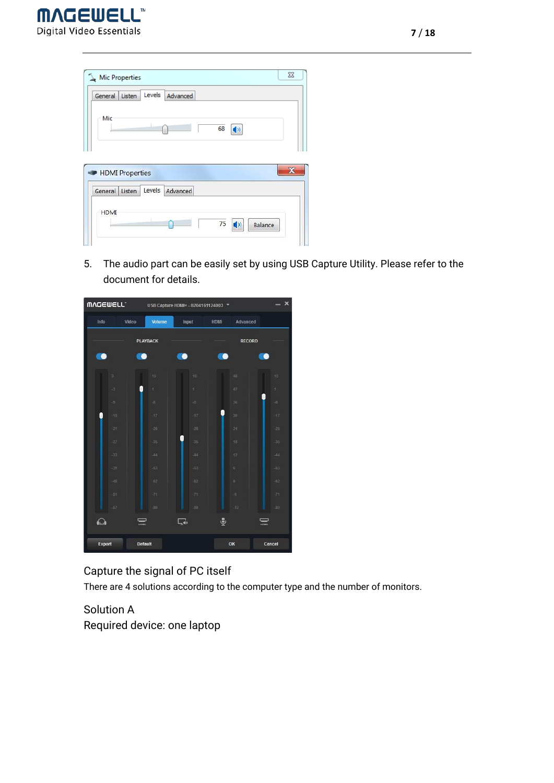

| Mic Properties<br>Levels<br>General<br>Listen    | Advanced              |   |
|--------------------------------------------------|-----------------------|---|
| Mic                                              | 68<br>$\blacklozenge$ |   |
|                                                  |                       |   |
|                                                  |                       | x |
| HDMI Properties<br>Levels<br>General  <br>Listen | Advanced              |   |

5. The audio part can be easily set by using USB Capture Utility. Please refer to the document for details.

| <b>MVCEMELL</b> |                |                 | USB Capture HDMI+ - B204161124003 * |             |               | $\boldsymbol{\mathsf{x}}$ |
|-----------------|----------------|-----------------|-------------------------------------|-------------|---------------|---------------------------|
| Info            | Video          | <b>Volume</b>   | Input                               | <b>HDMI</b> | Advanced      |                           |
|                 |                | <b>PLAYBACK</b> |                                     |             | <b>RECORD</b> |                           |
|                 | - 0            |                 |                                     | $\bullet$   |               |                           |
| $\overline{3}$  |                | 10              | 10                                  |             | 48            | 10                        |
| $\overline{3}$  |                | T               | Ŧ                                   |             | 42            | $\overline{1}$            |
| $\mathcal{Q}_-$ |                | $\cdot 8$       | $\mathcal{R}$                       |             | 36            | $\mathcal{S}$             |
| $-15$           |                | $-17$           | $-17$                               |             | 30            | $-17$                     |
| $-21$           |                | $-26$           | $-26$                               |             | 24            | $-26$                     |
| $-27$           |                | $-35$           | $-35$                               |             | 18            | $-35$                     |
| $-33$           |                | $-44$           | $-44$                               |             | 12            | $-44$                     |
| $-39$           |                | $-53$           | $-53$                               |             | 6             | $-53$                     |
| $-45$           |                | $-62$           | $-62$                               |             | $\theta$      | $-62$                     |
| $-51$           |                | $-71$           | $-71$                               |             | $-6$          | $-71$                     |
| $-57$           |                | $-80$           | $-80$                               |             | $-12$         | $-80$                     |
| <b>Shall</b>    | Ľ              |                 | ⋤ø                                  | 曼           |               | IJ                        |
| <b>Export</b>   | <b>Default</b> |                 |                                     |             | OK            | Cancel                    |

#### <span id="page-8-0"></span>Capture the signal of PC itself

There are 4 solutions according to the computer type and the number of monitors.

<span id="page-8-1"></span>Solution A Required device: one laptop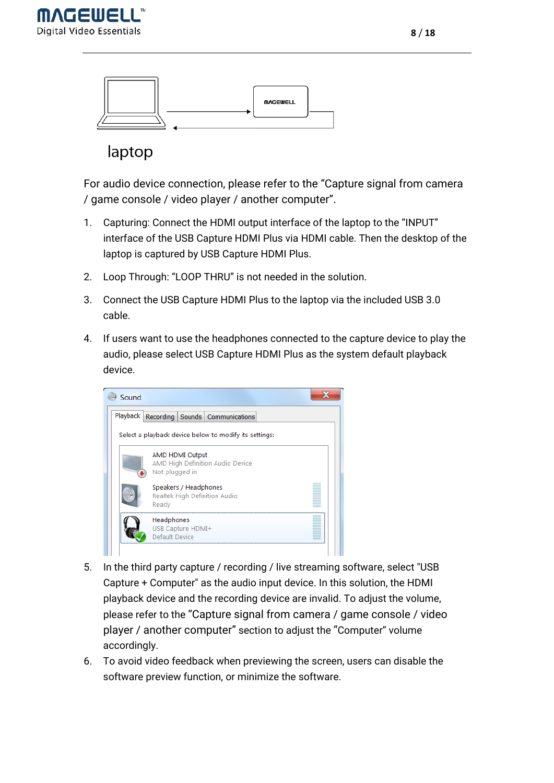



## laptop

For audio device connection, please refer to the "Capture signal from camera / game console / video player / another computer".

- 1. Capturing: Connect the HDMI output interface of the laptop to the "INPUT" interface of the USB Capture HDMI Plus via HDMI cable. Then the desktop of the laptop is captured by USB Capture HDMI Plus.
- 2. Loop Through: "LOOP THRU" is not needed in the solution.
- 3. Connect the USB Capture HDMI Plus to the laptop via the included USB 3.0 cable.
- 4. If users want to use the headphones connected to the capture device to play the audio, please select USB Capture HDMI Plus as the system default playback device.



- 5. In the third party capture / recording / live streaming software, select "USB Capture + Computer" as the audio input device. In this solution, the HDMI playback device and the recording device are invalid. To adjust the volume, please refer to the "Capture signal from camera / game console / video player / another computer" section to adjust the "Computer" volume accordingly.
- 6. To avoid video feedback when previewing the screen, users can disable the software preview function, or minimize the software.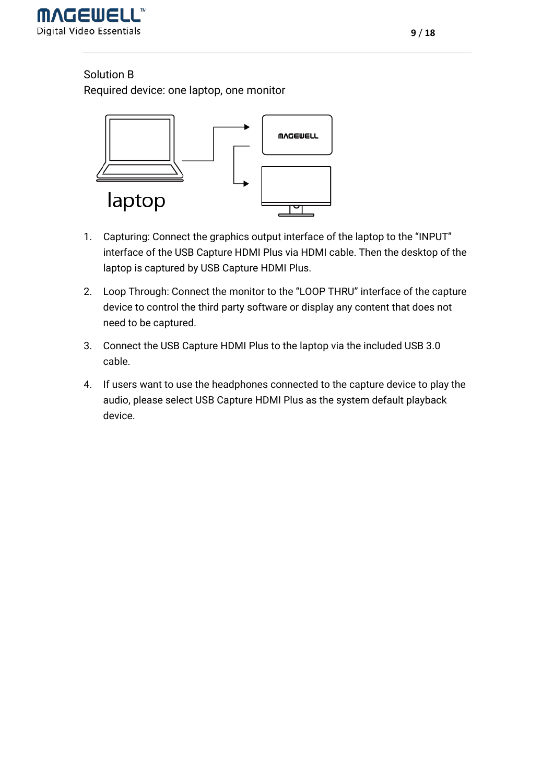

<span id="page-10-0"></span>Solution B Required device: one laptop, one monitor



- 1. Capturing: Connect the graphics output interface of the laptop to the "INPUT" interface of the USB Capture HDMI Plus via HDMI cable. Then the desktop of the laptop is captured by USB Capture HDMI Plus.
- 2. Loop Through: Connect the monitor to the "LOOP THRU" interface of the capture device to control the third party software or display any content that does not need to be captured.
- 3. Connect the USB Capture HDMI Plus to the laptop via the included USB 3.0 cable.
- 4. If users want to use the headphones connected to the capture device to play the audio, please select USB Capture HDMI Plus as the system default playback device.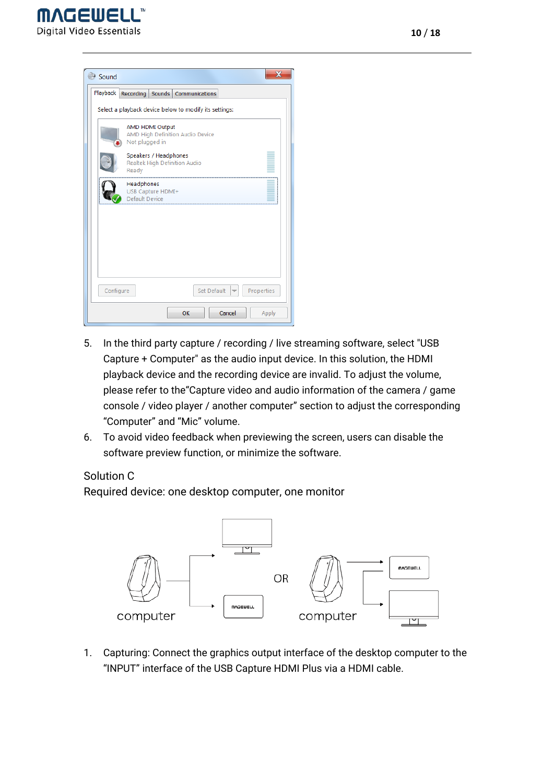| Sound                                                                 |       |  |  |  |  |
|-----------------------------------------------------------------------|-------|--|--|--|--|
| Playback<br>Recording Sounds Communications                           |       |  |  |  |  |
| Select a playback device below to modify its settings:                |       |  |  |  |  |
| AMD HDMI Output<br>AMD High Definition Audio Device<br>Not plugged in |       |  |  |  |  |
| Speakers / Headphones<br>Realtek High Definition Audio<br>Ready       |       |  |  |  |  |
| Headphones<br>USB Capture HDMI+<br>Default Device                     |       |  |  |  |  |
|                                                                       |       |  |  |  |  |
|                                                                       |       |  |  |  |  |
|                                                                       |       |  |  |  |  |
| Set Default<br>Configure<br>Properties                                |       |  |  |  |  |
| Cancel<br>OK                                                          | Apply |  |  |  |  |

- 5. In the third party capture / recording / live streaming software, select "USB Capture + Computer" as the audio input device. In this solution, the HDMI playback device and the recording device are invalid. To adjust the volume, please refer to the"Capture video and audio information of the camera / game console / video player / another computer" section to adjust the corresponding "Computer" and "Mic" volume.
- 6. To avoid video feedback when previewing the screen, users can disable the software preview function, or minimize the software.

#### <span id="page-11-0"></span>Solution C

Required device: one desktop computer, one monitor



1. Capturing: Connect the graphics output interface of the desktop computer to the "INPUT" interface of the USB Capture HDMI Plus via a HDMI cable.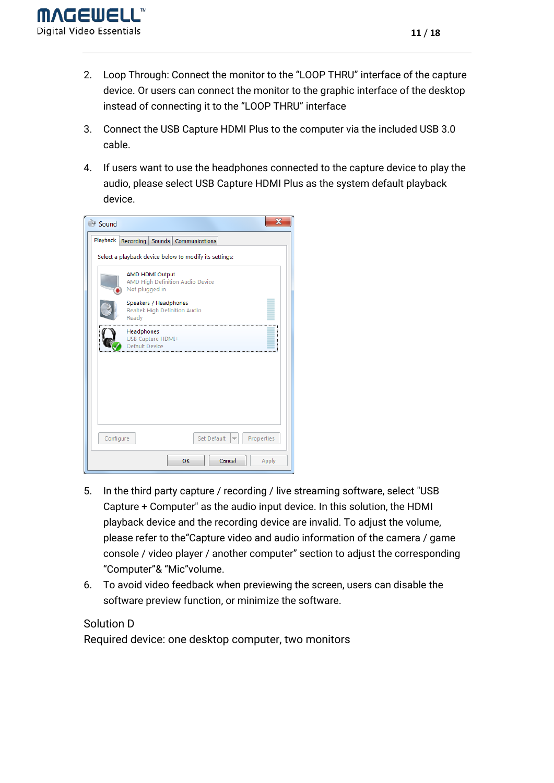- 2. Loop Through: Connect the monitor to the "LOOP THRU" interface of the capture device. Or users can connect the monitor to the graphic interface of the desktop instead of connecting it to the "LOOP THRU" interface
- 3. Connect the USB Capture HDMI Plus to the computer via the included USB 3.0 cable.
- 4. If users want to use the headphones connected to the capture device to play the audio, please select USB Capture HDMI Plus as the system default playback device.

| Sound                                                                 | $\overline{\mathbf{x}}$ |  |  |  |  |
|-----------------------------------------------------------------------|-------------------------|--|--|--|--|
| Playback   Recording   Sounds   Communications                        |                         |  |  |  |  |
| Select a playback device below to modify its settings:                |                         |  |  |  |  |
| AMD HDMI Output<br>AMD High Definition Audio Device<br>Not plugged in |                         |  |  |  |  |
| Speakers / Headphones<br>Realtek High Definition Audio<br>Ready       |                         |  |  |  |  |
| Headphones<br>USB Capture HDMI+<br>Default Device                     |                         |  |  |  |  |
|                                                                       |                         |  |  |  |  |
|                                                                       |                         |  |  |  |  |
|                                                                       |                         |  |  |  |  |
| Configure<br>Set Default<br>Properties                                |                         |  |  |  |  |
| OK<br>Cancel                                                          | Apply                   |  |  |  |  |

- 5. In the third party capture / recording / live streaming software, select "USB Capture + Computer" as the audio input device. In this solution, the HDMI playback device and the recording device are invalid. To adjust the volume, please refer to the"Capture video and audio information of the camera / game console / video player / another computer" section to adjust the corresponding "Computer"& "Mic"volume.
- 6. To avoid video feedback when previewing the screen, users can disable the software preview function, or minimize the software.

#### <span id="page-12-0"></span>Solution D

Required device: one desktop computer, two monitors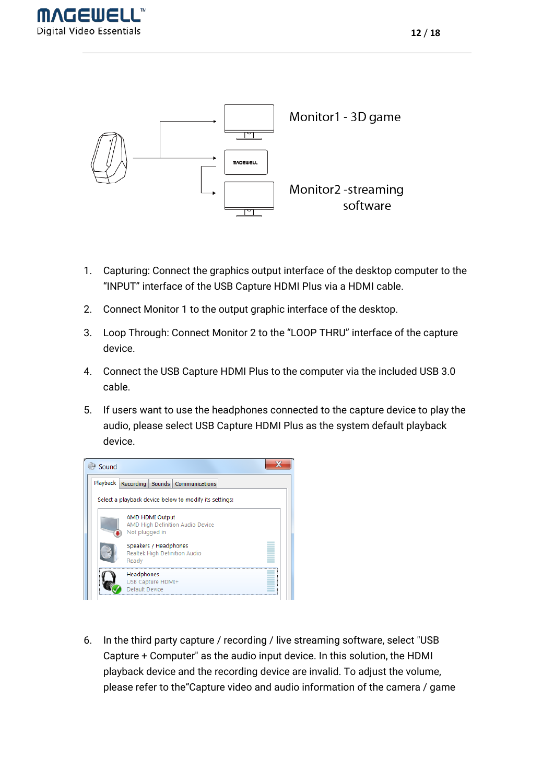



- 1. Capturing: Connect the graphics output interface of the desktop computer to the "INPUT" interface of the USB Capture HDMI Plus via a HDMI cable.
- 2. Connect Monitor 1 to the output graphic interface of the desktop.
- 3. Loop Through: Connect Monitor 2 to the "LOOP THRU" interface of the capture device.
- 4. Connect the USB Capture HDMI Plus to the computer via the included USB 3.0 cable.
- 5. If users want to use the headphones connected to the capture device to play the audio, please select USB Capture HDMI Plus as the system default playback device.



6. In the third party capture / recording / live streaming software, select "USB Capture + Computer" as the audio input device. In this solution, the HDMI playback device and the recording device are invalid. To adjust the volume, please refer to the"Capture video and audio information of the camera / game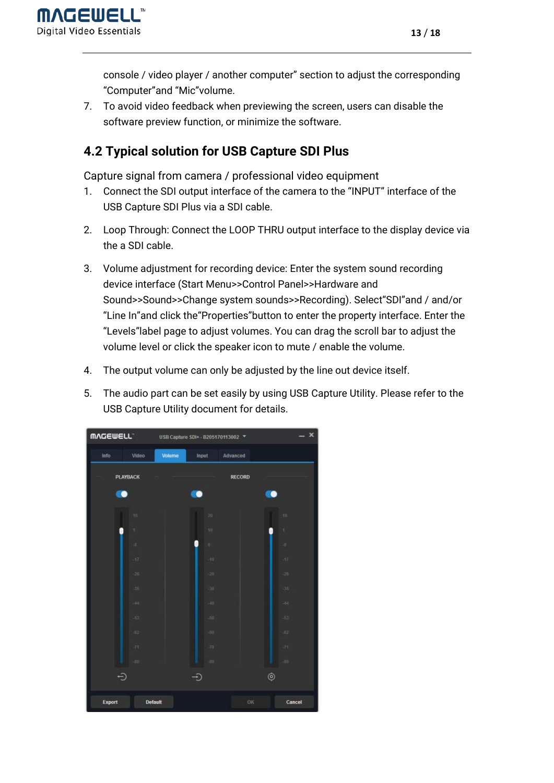console / video player / another computer" section to adjust the corresponding "Computer"and "Mic"volume.

7. To avoid video feedback when previewing the screen, users can disable the software preview function, or minimize the software.

## <span id="page-14-0"></span>**4.2 Typical solution for USB Capture SDI Plus**

<span id="page-14-1"></span>Capture signal from camera / professional video equipment

- 1. Connect the SDI output interface of the camera to the "INPUT" interface of the USB Capture SDI Plus via a SDI cable.
- 2. Loop Through: Connect the LOOP THRU output interface to the display device via the a SDI cable.
- 3. Volume adjustment for recording device: Enter the system sound recording device interface (Start Menu>>Control Panel>>Hardware and Sound>>Sound>>Change system sounds>>Recording). Select"SDI"and / and/or "Line In"and click the"Properties"button to enter the property interface. Enter the "Levels"label page to adjust volumes. You can drag the scroll bar to adjust the volume level or click the speaker icon to mute / enable the volume.
- 4. The output volume can only be adjusted by the line out device itself.
- 5. The audio part can be set easily by using USB Capture Utility. Please refer to the USB Capture Utility document for details.

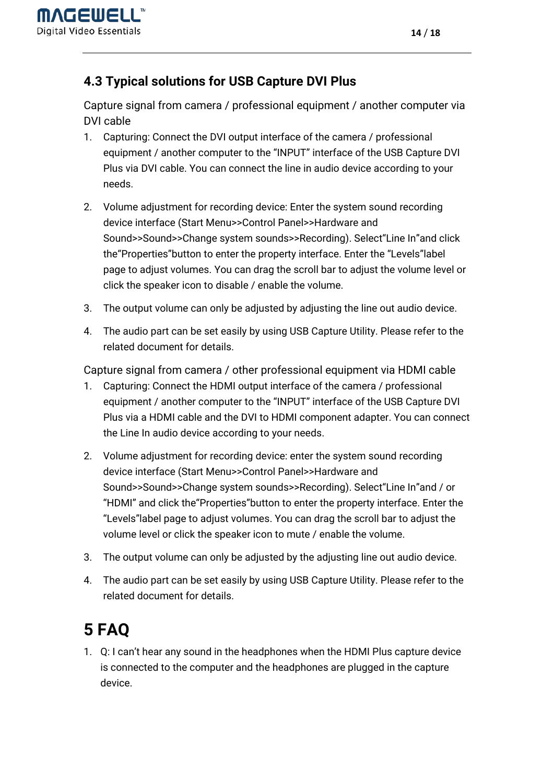## <span id="page-15-0"></span>**4.3 Typical solutions for USB Capture DVI Plus**

<span id="page-15-1"></span>Capture signal from camera / professional equipment / another computer via DVI cable

- 1. Capturing: Connect the DVI output interface of the camera / professional equipment / another computer to the "INPUT" interface of the USB Capture DVI Plus via DVI cable. You can connect the line in audio device according to your needs.
- 2. Volume adjustment for recording device: Enter the system sound recording device interface (Start Menu>>Control Panel>>Hardware and Sound>>Sound>>Change system sounds>>Recording). Select"Line In"and click the"Properties"button to enter the property interface. Enter the "Levels"label page to adjust volumes. You can drag the scroll bar to adjust the volume level or click the speaker icon to disable / enable the volume.
- 3. The output volume can only be adjusted by adjusting the line out audio device.
- 4. The audio part can be set easily by using USB Capture Utility. Please refer to the related document for details.

<span id="page-15-2"></span>Capture signal from camera / other professional equipment via HDMI cable

- 1. Capturing: Connect the HDMI output interface of the camera / professional equipment / another computer to the "INPUT" interface of the USB Capture DVI Plus via a HDMI cable and the DVI to HDMI component adapter. You can connect the Line In audio device according to your needs.
- 2. Volume adjustment for recording device: enter the system sound recording device interface (Start Menu>>Control Panel>>Hardware and Sound>>Sound>>Change system sounds>>Recording). Select"Line In"and / or "HDMI" and click the"Properties"button to enter the property interface. Enter the "Levels"label page to adjust volumes. You can drag the scroll bar to adjust the volume level or click the speaker icon to mute / enable the volume.
- 3. The output volume can only be adjusted by the adjusting line out audio device.
- 4. The audio part can be set easily by using USB Capture Utility. Please refer to the related document for details.

## <span id="page-15-3"></span>**5 FAQ**

1. Q: I can't hear any sound in the headphones when the HDMI Plus capture device is connected to the computer and the headphones are plugged in the capture device.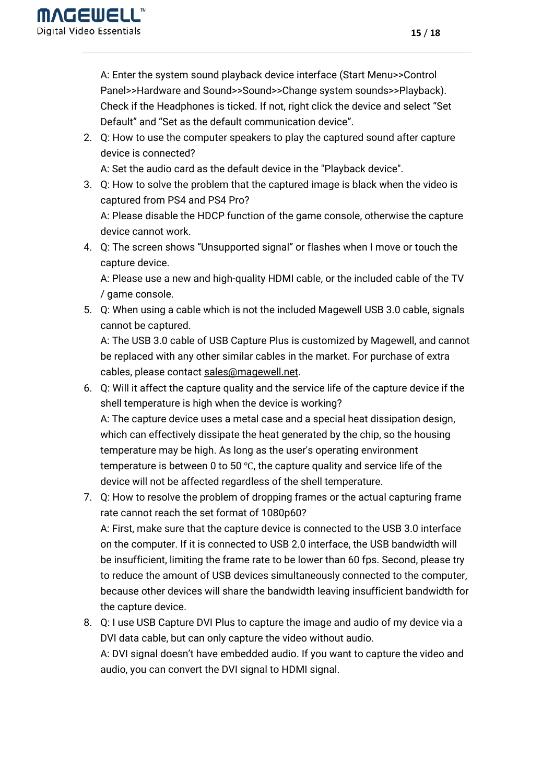A: Enter the system sound playback device interface (Start Menu>>Control Panel>>Hardware and Sound>>Sound>>Change system sounds>>Playback). Check if the Headphones is ticked. If not, right click the device and select "Set Default" and "Set as the default communication device".

2. Q: How to use the computer speakers to play the captured sound after capture device is connected?

A: Set the audio card as the default device in the "Playback device".

3. Q: How to solve the problem that the captured image is black when the video is captured from PS4 and PS4 Pro?

A: Please disable the HDCP function of the game console, otherwise the capture device cannot work.

4. Q: The screen shows "Unsupported signal" or flashes when I move or touch the capture device.

A: Please use a new and high-quality HDMI cable, or the included cable of the TV / game console.

5. Q: When using a cable which is not the included Magewell USB 3.0 cable, signals cannot be captured.

A: The USB 3.0 cable of USB Capture Plus is customized by Magewell, and cannot be replaced with any other similar cables in the market. For purchase of extra cables, please contact sales@magewell.net.

- 6. Q: Will it affect the capture quality and the service life of the capture device if the shell temperature is high when the device is working? A: The capture device uses a metal case and a special heat dissipation design, which can effectively dissipate the heat generated by the chip, so the housing temperature may be high. As long as the user's operating environment temperature is between 0 to 50 ℃, the capture quality and service life of the device will not be affected regardless of the shell temperature.
- 7. Q: How to resolve the problem of dropping frames or the actual capturing frame rate cannot reach the set format of 1080p60? A: First, make sure that the capture device is connected to the USB 3.0 interface on the computer. If it is connected to USB 2.0 interface, the USB bandwidth will be insufficient, limiting the frame rate to be lower than 60 fps. Second, please try to reduce the amount of USB devices simultaneously connected to the computer, because other devices will share the bandwidth leaving insufficient bandwidth for the capture device.
- 8. Q: I use USB Capture DVI Plus to capture the image and audio of my device via a DVI data cable, but can only capture the video without audio. A: DVI signal doesn't have embedded audio. If you want to capture the video and audio, you can convert the DVI signal to HDMI signal.